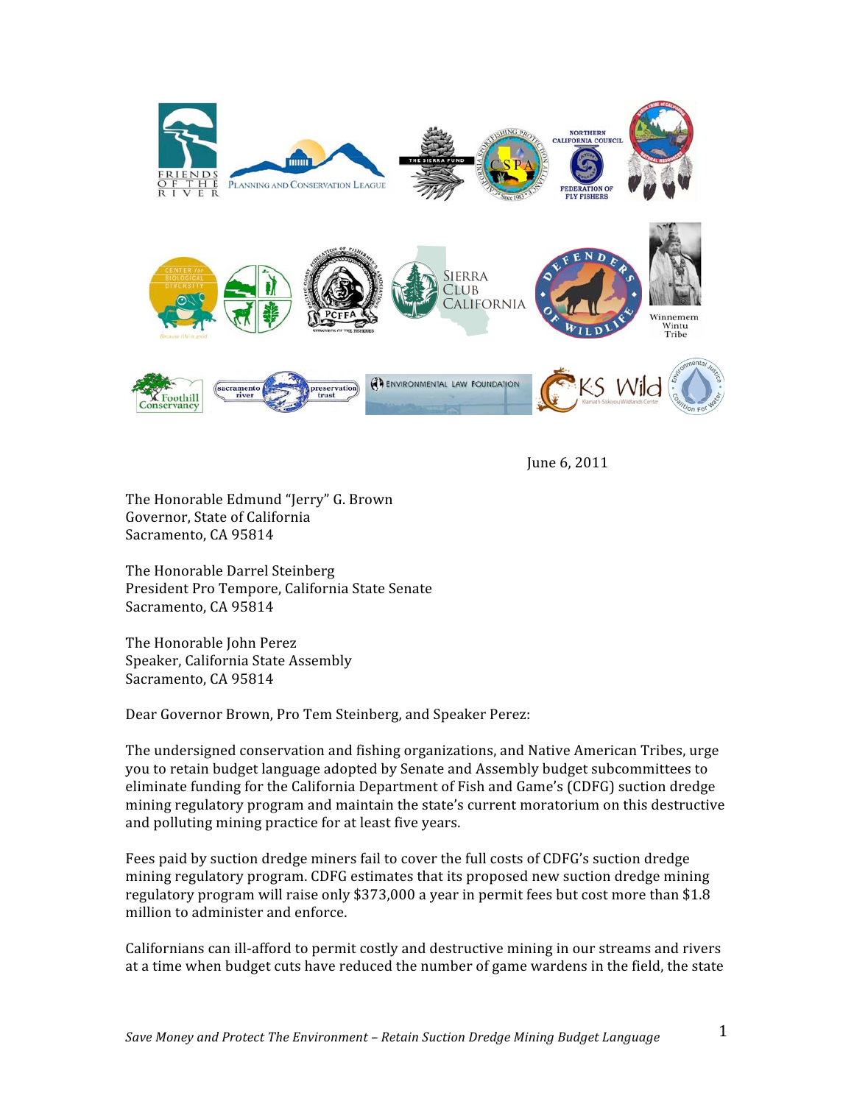

June 6, 2011

The Honorable Edmund "Jerry" G. Brown Governor, State of California Sacramento, CA 95814

The Honorable Darrel Steinberg President Pro Tempore, California State Senate Sacramento, CA 95814

The Honorable John Perez Speaker, California State Assembly Sacramento, CA 95814

Dear Governor Brown, Pro Tem Steinberg, and Speaker Perez:

The undersigned conservation and fishing organizations, and Native American Tribes, urge you to retain budget language adopted by Senate and Assembly budget subcommittees to eliminate funding for the California Department of Fish and Game's (CDFG) suction dredge mining regulatory program and maintain the state's current moratorium on this destructive and polluting mining practice for at least five years.

Fees paid by suction dredge miners fail to cover the full costs of CDFG's suction dredge mining regulatory program. CDFG estimates that its proposed new suction dredge mining regulatory program will raise only \$373,000 a year in permit fees but cost more than \$1.8 million to administer and enforce.

Californians can ill-afford to permit costly and destructive mining in our streams and rivers at a time when budget cuts have reduced the number of game wardens in the field, the state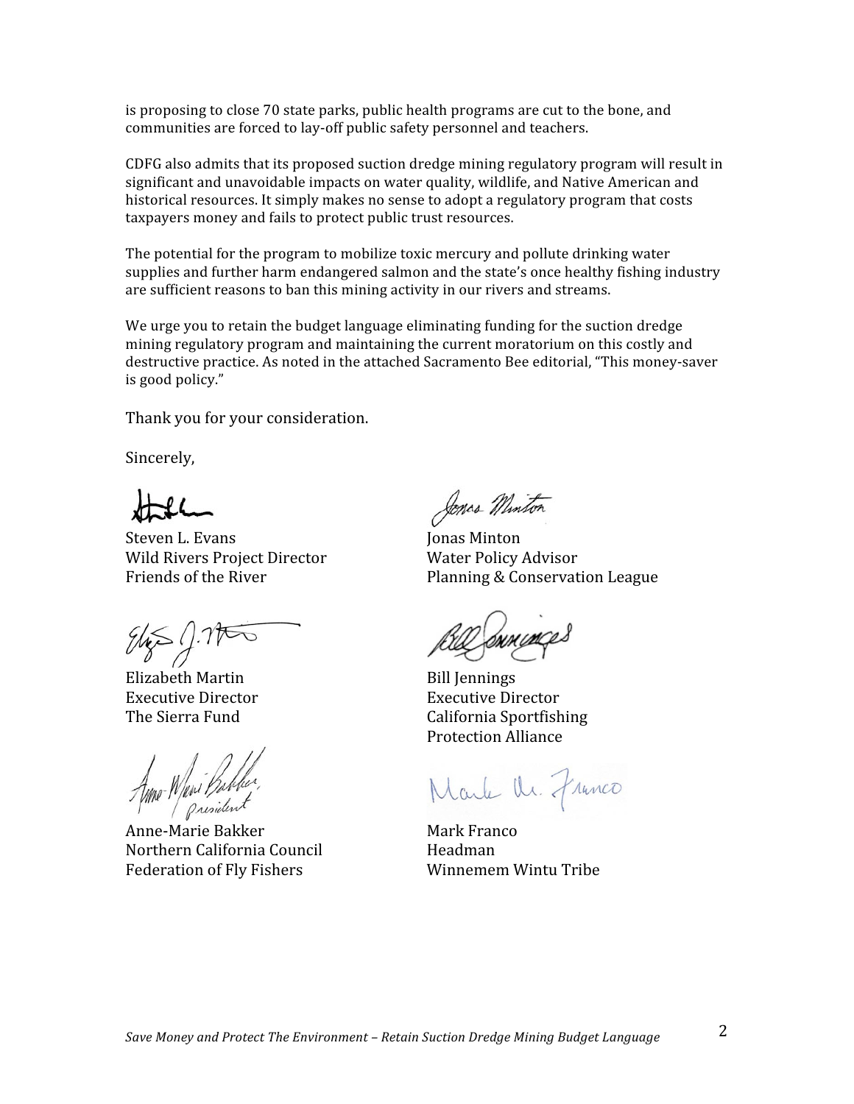is proposing to close 70 state parks, public health programs are cut to the bone, and communities are forced to lay-off public safety personnel and teachers.

CDFG also admits that its proposed suction dredge mining regulatory program will result in significant and unavoidable impacts on water quality, wildlife, and Native American and historical resources. It simply makes no sense to adopt a regulatory program that costs taxpayers money and fails to protect public trust resources.

The potential for the program to mobilize toxic mercury and pollute drinking water supplies and further harm endangered salmon and the state's once healthy fishing industry are sufficient reasons to ban this mining activity in our rivers and streams.

We urge you to retain the budget language eliminating funding for the suction dredge mining regulatory program and maintaining the current moratorium on this costly and destructive practice. As noted in the attached Sacramento Bee editorial, "This money-saver is good policy."

Thank you for your consideration.

Sincerely,

Steven L. Evans Wild Rivers Project Director Friends of the River

 $945 / 1750$ 

Elizabeth Martin **Executive Director** The Sierra Fund

Mo Wani Bibber<br>Mo Wani Bibber

Anne-Marie Bakker Northern California Council **Federation of Fly Fishers** 

Jonas Miniton

**Jonas Minton Water Policy Advisor** Planning & Conservation League

**Bill Iennings Executive Director** California Sportfishing **Protection Alliance** 

Marke Ur. Franco

Mark Franco Headman Winnemem Wintu Tribe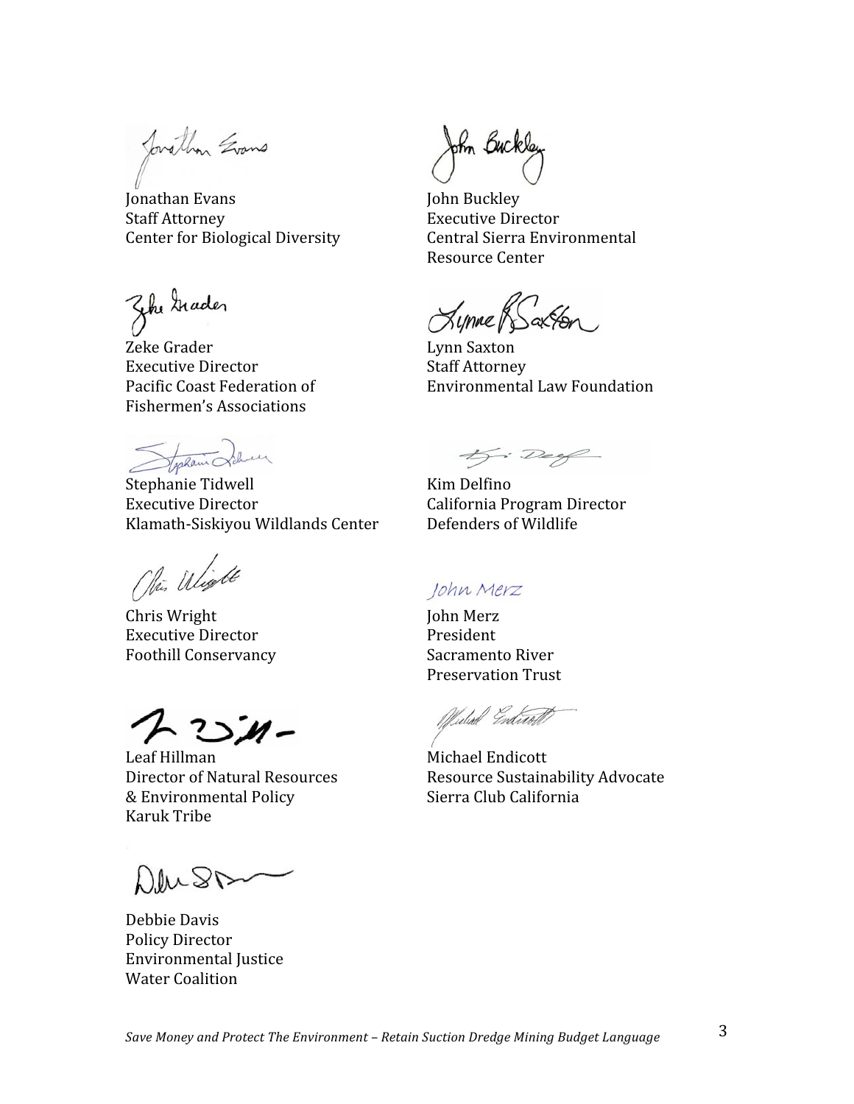Jovathan Evans

Jonathan Evans **Staff Attorney Center for Biological Diversity** 

Zhe trader

Zeke Grader **Executive Director** Pacific Coast Federation of **Fishermen's Associations** 

Stockann Schul

Stephanie Tidwell **Executive Director** Klamath-Siskiyou Wildlands Center

Ohio Wight

Chris Wright **Executive Director Foothill Conservancy** 

 $25 -$ 

Leaf Hillman Director of Natural Resources & Environmental Policy Karuk Tribe

Deust

Debbie Davis **Policy Director Environmental Justice Water Coalition** 

John Buckley

John Buckley **Executive Director** Central Sierra Environmental Resource Center

Lynne & Saxton

Lynn Saxton **Staff Attorney** Environmental Law Foundation

Kj: Deef

Kim Delfino California Program Director Defenders of Wildlife

## John Merz

**John Merz** President Sacramento River **Preservation Trust** 

Widsel Endicott

Michael Endicott Resource Sustainability Advocate Sierra Club California